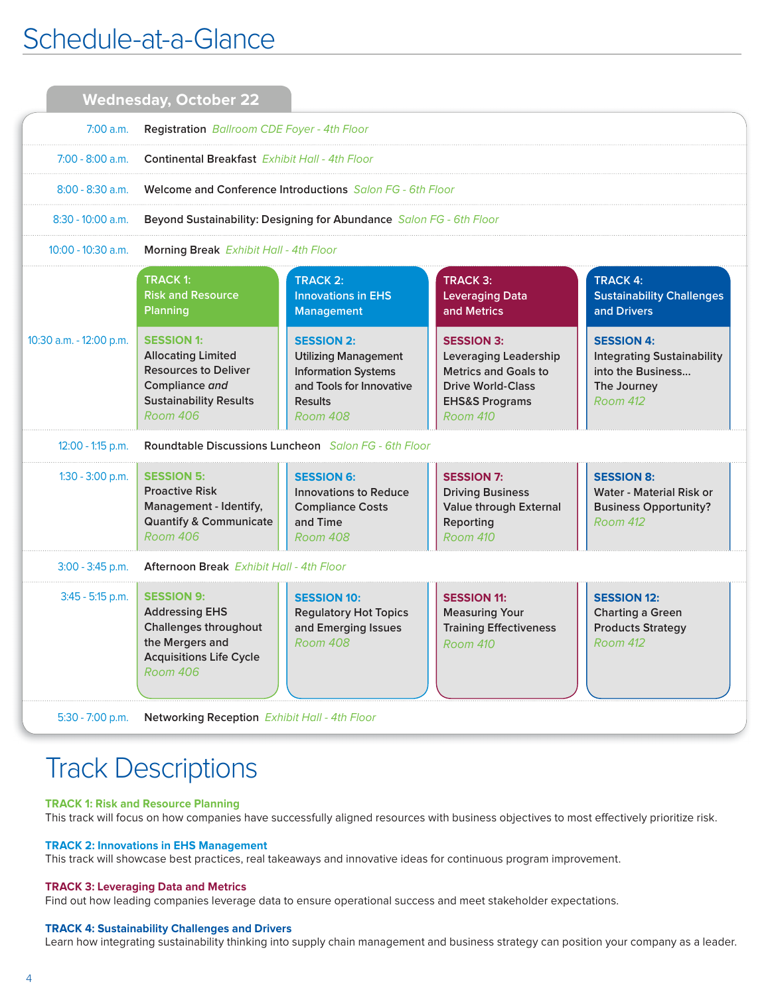## Schedule-at-a-Glance

|                         | <b>Wednesday, October 22</b>                                                                                                                        |                                                                                                                                          |                                                                                                                                                              |                                                                                                               |  |  |
|-------------------------|-----------------------------------------------------------------------------------------------------------------------------------------------------|------------------------------------------------------------------------------------------------------------------------------------------|--------------------------------------------------------------------------------------------------------------------------------------------------------------|---------------------------------------------------------------------------------------------------------------|--|--|
| $7:00$ a.m.             | Registration Ballroom CDE Foyer - 4th Floor                                                                                                         |                                                                                                                                          |                                                                                                                                                              |                                                                                                               |  |  |
| $7:00 - 8:00$ a.m.      | Continental Breakfast Exhibit Hall - 4th Floor                                                                                                      |                                                                                                                                          |                                                                                                                                                              |                                                                                                               |  |  |
| $8:00 - 8:30$ a.m.      | <b>Welcome and Conference Introductions</b> Salon FG - 6th Floor                                                                                    |                                                                                                                                          |                                                                                                                                                              |                                                                                                               |  |  |
| $8:30 - 10:00$ a.m.     | Beyond Sustainability: Designing for Abundance Salon FG - 6th Floor                                                                                 |                                                                                                                                          |                                                                                                                                                              |                                                                                                               |  |  |
| 10:00 - 10:30 a.m.      | <b>Morning Break</b> Exhibit Hall - 4th Floor                                                                                                       |                                                                                                                                          |                                                                                                                                                              |                                                                                                               |  |  |
|                         | <b>TRACK 1:</b><br><b>Risk and Resource</b><br><b>Planning</b>                                                                                      | <b>TRACK 2:</b><br><b>Innovations in EHS</b><br>Management                                                                               | <b>TRACK 3:</b><br><b>Leveraging Data</b><br>and Metrics                                                                                                     | <b>TRACK 4:</b><br><b>Sustainability Challenges</b><br>and Drivers                                            |  |  |
| 10:30 a.m. - 12:00 p.m. | <b>SESSION 1:</b><br><b>Allocating Limited</b><br><b>Resources to Deliver</b><br>Compliance and<br><b>Sustainability Results</b><br><b>Room 406</b> | <b>SESSION 2:</b><br><b>Utilizing Management</b><br><b>Information Systems</b><br>and Tools for Innovative<br><b>Results</b><br>Room 408 | <b>SESSION 3:</b><br><b>Leveraging Leadership</b><br><b>Metrics and Goals to</b><br><b>Drive World-Class</b><br><b>EHS&amp;S Programs</b><br><b>Room 410</b> | <b>SESSION 4:</b><br><b>Integrating Sustainability</b><br>into the Business<br>The Journey<br><b>Room 412</b> |  |  |
| 12:00 - 1:15 p.m.       | Roundtable Discussions Luncheon Salon FG - 6th Floor                                                                                                |                                                                                                                                          |                                                                                                                                                              |                                                                                                               |  |  |
| $1:30 - 3:00$ p.m.      | <b>SESSION 5:</b><br><b>Proactive Risk</b><br>Management - Identify,<br><b>Quantify &amp; Communicate</b><br>Room 406                               | <b>SESSION 6:</b><br><b>Innovations to Reduce</b><br><b>Compliance Costs</b><br>and Time<br><b>Room 408</b>                              | <b>SESSION 7:</b><br><b>Driving Business</b><br>Value through External<br>Reporting<br><b>Room 410</b>                                                       | <b>SESSION 8:</b><br>Water - Material Risk or<br><b>Business Opportunity?</b><br><b>Room 412</b>              |  |  |
| 3:00 - 3:45 p.m.        | <b>Afternoon Break</b> Exhibit Hall - 4th Floor                                                                                                     |                                                                                                                                          |                                                                                                                                                              |                                                                                                               |  |  |
| 3:45 - 5:15 p.m.        | <b>SESSION 9:</b><br><b>Addressing EHS</b><br>Challenges throughout<br>the Mergers and<br><b>Acquisitions Life Cycle</b><br><b>Room 406</b>         | <b>SESSION 10:</b><br><b>Regulatory Hot Topics</b><br>and Emerging Issues<br><b>Room 408</b>                                             | <b>SESSION 11:</b><br><b>Measuring Your</b><br><b>Training Effectiveness</b><br><b>Room 410</b>                                                              | <b>SESSION 12:</b><br><b>Charting a Green</b><br><b>Products Strategy</b><br>Room 412                         |  |  |
| $5:30 - 7:00$ p.m.      | Networking Reception Exhibit Hall - 4th Floor                                                                                                       |                                                                                                                                          |                                                                                                                                                              |                                                                                                               |  |  |

# Track Descriptions

#### **TRACK 1: Risk and Resource Planning**

This track will focus on how companies have successfully aligned resources with business objectives to most effectively prioritize risk.

#### **TRACK 2: Innovations in EHS Management**

This track will showcase best practices, real takeaways and innovative ideas for continuous program improvement.

#### **TRACK 3: Leveraging Data and Metrics**

Find out how leading companies leverage data to ensure operational success and meet stakeholder expectations.

#### **TRACK 4: Sustainability Challenges and Drivers**

Learn how integrating sustainability thinking into supply chain management and business strategy can position your company as a leader.